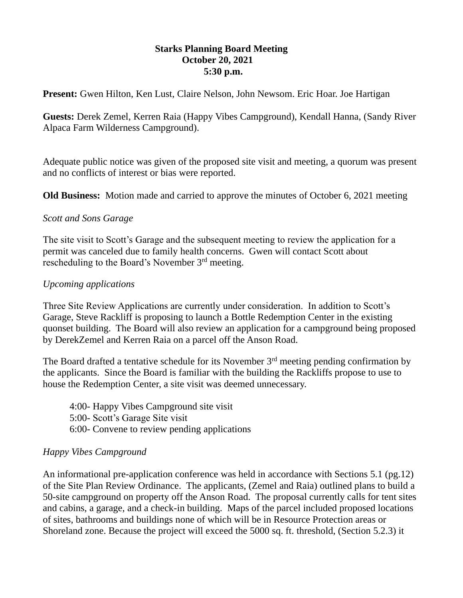#### **Starks Planning Board Meeting October 20, 2021 5:30 p.m.**

**Present:** Gwen Hilton, Ken Lust, Claire Nelson, John Newsom. Eric Hoar. Joe Hartigan

**Guests:** Derek Zemel, Kerren Raia (Happy Vibes Campground), Kendall Hanna, (Sandy River Alpaca Farm Wilderness Campground).

Adequate public notice was given of the proposed site visit and meeting, a quorum was present and no conflicts of interest or bias were reported.

**Old Business:** Motion made and carried to approve the minutes of October 6, 2021 meeting

### *Scott and Sons Garage*

The site visit to Scott's Garage and the subsequent meeting to review the application for a permit was canceled due to family health concerns. Gwen will contact Scott about rescheduling to the Board's November 3rd meeting.

## *Upcoming applications*

Three Site Review Applications are currently under consideration. In addition to Scott's Garage, Steve Rackliff is proposing to launch a Bottle Redemption Center in the existing quonset building. The Board will also review an application for a campground being proposed by DerekZemel and Kerren Raia on a parcel off the Anson Road.

The Board drafted a tentative schedule for its November  $3<sup>rd</sup>$  meeting pending confirmation by the applicants. Since the Board is familiar with the building the Rackliffs propose to use to house the Redemption Center, a site visit was deemed unnecessary.

4:00- Happy Vibes Campground site visit 5:00- Scott's Garage Site visit 6:00- Convene to review pending applications

# *Happy Vibes Campground*

An informational pre-application conference was held in accordance with Sections 5.1 (pg.12) of the Site Plan Review Ordinance. The applicants, (Zemel and Raia) outlined plans to build a 50-site campground on property off the Anson Road. The proposal currently calls for tent sites and cabins, a garage, and a check-in building. Maps of the parcel included proposed locations of sites, bathrooms and buildings none of which will be in Resource Protection areas or Shoreland zone. Because the project will exceed the 5000 sq. ft. threshold, (Section 5.2.3) it